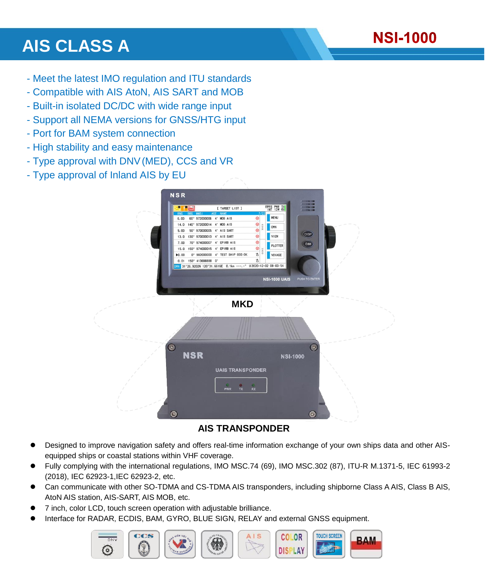

# **AIS CLASS A**

- Meet the latest IMO regulation and ITU standards
- Compatible with AIS AtoN, AIS SART and MOB
- Built-in isolated DC/DC with wide range input
- Support all NEMA versions for GNSS/HTG input
- Port for BAM system connection
- High stability and easy maintenance
- Type approval with DNV(MED), CCS and VR
- Type approval of Inland AIS by EU



### **AIS TRANSPONDER**

- Designed to improve navigation safety and offers real-time information exchange of your own ships data and other AISequipped ships or coastal stations within VHF coverage.
- Fully complying with the international regulations, IMO MSC.74 (69), IMO MSC.302 (87), ITU-R M.1371-5, IEC 61993-2 (2018), IEC 62923-1,IEC 62923-2, etc.
- Can communicate with other SO-TDMA and CS-TDMA AIS transponders, including shipborne Class A AIS, Class B AIS, AtoN AIS station, AIS-SART, AIS MOB, etc.
- 7 inch, color LCD, touch screen operation with adjustable brilliance.
- Interface for RADAR, ECDIS, BAM, GYRO, BLUE SIGN, RELAY and external GNSS equipment.